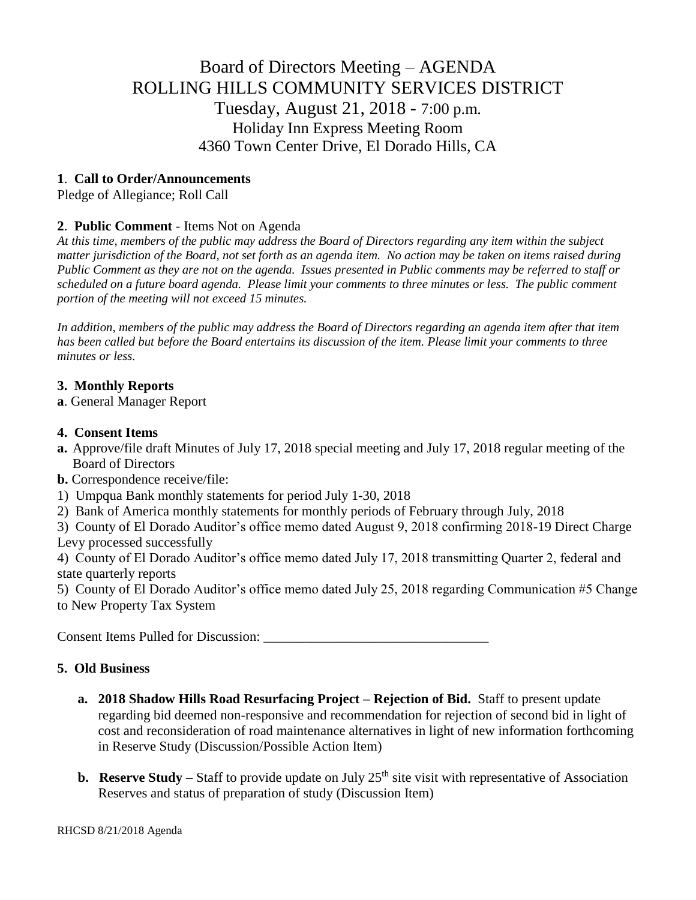# Board of Directors Meeting – AGENDA ROLLING HILLS COMMUNITY SERVICES DISTRICT Tuesday, August 21, 2018 - 7:00 p.m. Holiday Inn Express Meeting Room 4360 Town Center Drive, El Dorado Hills, CA

# **1**. **Call to Order/Announcements**

Pledge of Allegiance; Roll Call

# **2**. **Public Comment** - Items Not on Agenda

*At this time, members of the public may address the Board of Directors regarding any item within the subject matter jurisdiction of the Board, not set forth as an agenda item. No action may be taken on items raised during Public Comment as they are not on the agenda. Issues presented in Public comments may be referred to staff or scheduled on a future board agenda. Please limit your comments to three minutes or less. The public comment portion of the meeting will not exceed 15 minutes.*

*In addition, members of the public may address the Board of Directors regarding an agenda item after that item has been called but before the Board entertains its discussion of the item. Please limit your comments to three minutes or less.*

## **3. Monthly Reports**

**a**. General Manager Report

#### **4. Consent Items**

- **a.** Approve/file draft Minutes of July 17, 2018 special meeting and July 17, 2018 regular meeting of the Board of Directors
- **b.** Correspondence receive/file:
- 1) Umpqua Bank monthly statements for period July 1-30, 2018
- 2) Bank of America monthly statements for monthly periods of February through July, 2018

3) County of El Dorado Auditor's office memo dated August 9, 2018 confirming 2018-19 Direct Charge Levy processed successfully

4) County of El Dorado Auditor's office memo dated July 17, 2018 transmitting Quarter 2, federal and state quarterly reports

5) County of El Dorado Auditor's office memo dated July 25, 2018 regarding Communication #5 Change to New Property Tax System

Consent Items Pulled for Discussion: \_\_\_\_\_\_\_\_\_\_\_\_\_\_\_\_\_\_\_\_\_\_\_\_\_\_\_\_\_\_\_\_\_

## **5. Old Business**

- **a. 2018 Shadow Hills Road Resurfacing Project – Rejection of Bid.** Staff to present update regarding bid deemed non-responsive and recommendation for rejection of second bid in light of cost and reconsideration of road maintenance alternatives in light of new information forthcoming in Reserve Study (Discussion/Possible Action Item)
- **b. Reserve Study** Staff to provide update on July 25<sup>th</sup> site visit with representative of Association Reserves and status of preparation of study (Discussion Item)